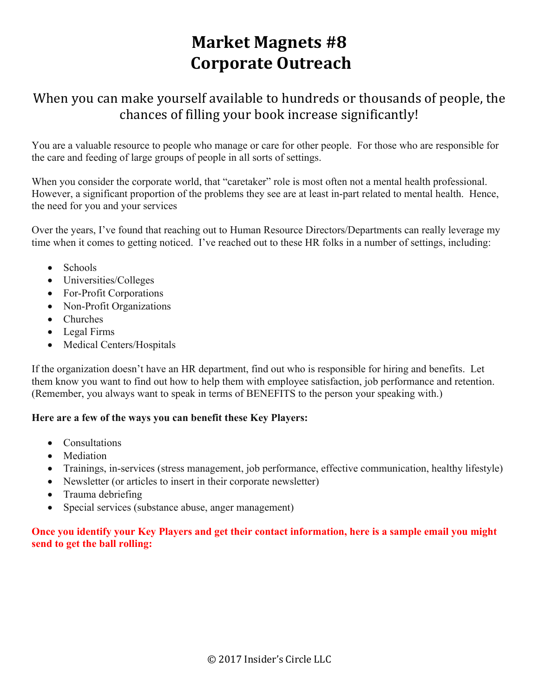# **Market Magnets #8 Corporate Outreach**

### When you can make yourself available to hundreds or thousands of people, the chances of filling your book increase significantly!

You are a valuable resource to people who manage or care for other people. For those who are responsible for the care and feeding of large groups of people in all sorts of settings.

When you consider the corporate world, that "caretaker" role is most often not a mental health professional. However, a significant proportion of the problems they see are at least in-part related to mental health. Hence, the need for you and your services

Over the years, I've found that reaching out to Human Resource Directors/Departments can really leverage my time when it comes to getting noticed. I've reached out to these HR folks in a number of settings, including:

- Schools
- Universities/Colleges
- For-Profit Corporations
- Non-Profit Organizations
- Churches
- Legal Firms
- Medical Centers/Hospitals

If the organization doesn't have an HR department, find out who is responsible for hiring and benefits. Let them know you want to find out how to help them with employee satisfaction, job performance and retention. (Remember, you always want to speak in terms of BENEFITS to the person your speaking with.)

#### **Here are a few of the ways you can benefit these Key Players:**

- Consultations
- Mediation
- Trainings, in-services (stress management, job performance, effective communication, healthy lifestyle)
- Newsletter (or articles to insert in their corporate newsletter)
- Trauma debriefing
- Special services (substance abuse, anger management)

#### **Once you identify your Key Players and get their contact information, here is a sample email you might send to get the ball rolling:**